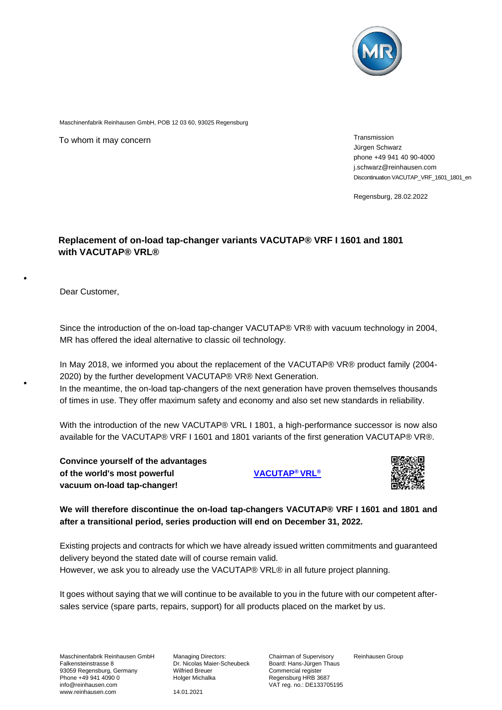

Maschinenfabrik Reinhausen GmbH, POB 12 03 60, 93025 Regensburg

To whom it may concern metallicity of the state of the state of the state of the Transmission

Jürgen Schwarz phone +49 941 40 90-4000 j.schwarz@reinhausen.com Discontinuation VACUTAP\_VRF\_1601\_1801\_en

Regensburg, 28.02.2022

## **Replacement of on-load tap-changer variants VACUTAP® VRF I 1601 and 1801 with VACUTAP® VRL®**

Dear Customer,

Since the introduction of the on-load tap-changer VACUTAP® VR® with vacuum technology in 2004, MR has offered the ideal alternative to classic oil technology.

In May 2018, we informed you about the replacement of the VACUTAP® VR® product family (2004- 2020) by the further development VACUTAP® VR® Next Generation.

In the meantime, the on-load tap-changers of the next generation have proven themselves thousands of times in use. They offer maximum safety and economy and also set new standards in reliability.

With the introduction of the new VACUTAP® VRL I 1801, a high-performance successor is now also available for the VACUTAP® VRF I 1601 and 1801 variants of the first generation VACUTAP® VR®.

**Convince yourself of the advantages of the world's most powerful [VACUTAP](https://www.reinhausen.com/productdetail/on-load-tap-changers/vacutap-vrl)® VRL® vacuum on-load tap-changer!** 



**We will therefore discontinue the on-load tap-changers VACUTAP® VRF I 1601 and 1801 and after a transitional period, series production will end on December 31, 2022.**

Existing projects and contracts for which we have already issued written commitments and guaranteed delivery beyond the stated date will of course remain valid. However, we ask you to already use the VACUTAP® VRL® in all future project planning.

It goes without saying that we will continue to be available to you in the future with our competent aftersales service (spare parts, repairs, support) for all products placed on the market by us.

Maschinenfabrik Reinhausen GmbH Falkensteinstrasse 8 93059 Regensburg, Germany Phone +49 941 4090 0 info@reinhausen.com www.reinhausen.com

Managing Directors: Dr. Nicolas Maier-Scheubeck Wilfried Breuer Holger Michalka

14.01.2021

Chairman of Supervisory Board: Hans-Jürgen Thaus Commercial register Regensburg HRB 3687 VAT reg. no.: DE133705195 Reinhausen Group